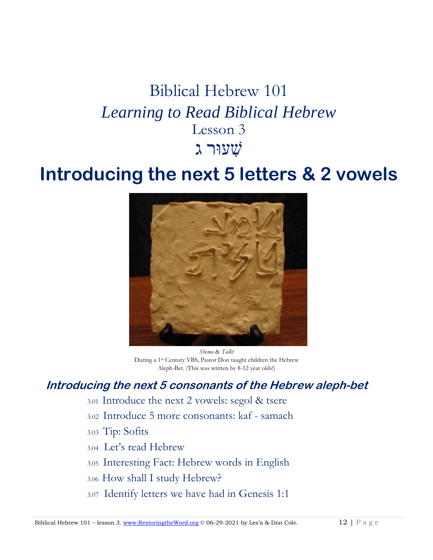# Biblical Hebrew 101 *Learning to Read Biblical Hebrew* Lesson 3 שׁ ִעוּר גִ

## **Introducing the next 5 letters & 2 vowels**



*Shema* & *Tallit* During a 1st Century VBS, Pastor Don taught children the Hebrew Aleph-Bet. (This was written by 8-12 year olds!)

## **Introducing the next 5 consonants of the Hebrew aleph-bet**

- 3.01 Introduce the next 2 vowels: segol & tsere
- 3.02 Introduce 5 more consonants: kaf samach
- 3.03 Tip: Sofits
- 3.04 Let's read Hebrew
- 3.05 Interesting Fact: Hebrew words in English
- 3.06 How shall I study Hebrew?
- 3.07 Identify letters we have had in Genesis 1:1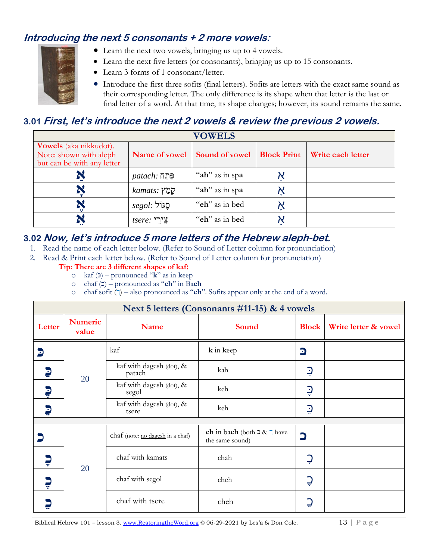## **Introducing the next 5 consonants + 2 more vowels:**

- Learn the next two vowels, bringing us up to 4 vowels.
- Learn the next five letters (or consonants), bringing us up to 15 consonants.
- Learn 3 forms of 1 consonant/letter.
- Introduce the first three sofits (final letters). Sofits are letters with the exact same sound as their corresponding letter. The only difference is its shape when that letter is the last or final letter of a word. At that time, its shape changes; however, its sound remains the same.

## **3.01 First, let's introduce the next 2 vowels & review the previous 2 vowels.**

| <b>VOWELS</b>                                                                         |                   |                |                    |                   |
|---------------------------------------------------------------------------------------|-------------------|----------------|--------------------|-------------------|
| <b>Vowels</b> (aka nikkudot).<br>Note: shown with aleph<br>but can be with any letter | Name of vowel     | Sound of vowel | <b>Block Print</b> | Write each letter |
|                                                                                       | <i>egn: פּחַח</i> | "ah" as in spa |                    |                   |
|                                                                                       | kamats: קַמַּץ    | "ah" as in spa |                    |                   |
|                                                                                       | הֲגוֹל :segol     | "eh" as in bed |                    |                   |
|                                                                                       | צֵירֵי :tsere     | "eh" as in bed |                    |                   |

## **3.02 Now, let's introduce 5 more letters of the Hebrew aleph-bet.**

- 1. Read the name of each letter below. (Refer to Sound of Letter column for pronunciation)
- 2. Read & Print each letter below. (Refer to Sound of Letter column for pronunciation)

#### **Tip: There are 3 different shapes of kaf:**

- o kaf (כּ (pronounced "**k**" as in **k**eep
- o chaf (כ (pronounced as "**ch**" in Ba**ch**
- o chaf sofit  $(\bar{\mathbf{q}})$  also pronounced as "**ch**". Sofits appear only at the end of a word.

| Next 5 letters (Consonants #11-15) & 4 vowels |                         |                                    |                                                                      |                |                      |
|-----------------------------------------------|-------------------------|------------------------------------|----------------------------------------------------------------------|----------------|----------------------|
| Letter                                        | <b>Numeric</b><br>value | <b>Name</b>                        | Sound                                                                | <b>Block</b>   | Write letter & vowel |
| D                                             | 20                      | kaf                                | k in keep                                                            | D              |                      |
| D                                             |                         | kaf with dagesh (dot), &<br>patach | kah                                                                  | $\supseteq$    |                      |
| e                                             |                         | kaf with dagesh (dot), &<br>segol  | keh                                                                  | $\overline{Q}$ |                      |
| D                                             |                         | kaf with dagesh (dot), &<br>tsere  | keh                                                                  | $\overline{Q}$ |                      |
|                                               |                         |                                    |                                                                      |                |                      |
|                                               | 20                      | chaf (note: no dagesh in a chaf)   | ch in bach (both $\triangleright \& \square$ have<br>the same sound) | $\Box$         |                      |
|                                               |                         | chaf with kamats                   | chah                                                                 | Ç              |                      |
|                                               |                         | chaf with segol                    | cheh                                                                 | Ç              |                      |
|                                               |                         | chaf with tsere                    | cheh                                                                 |                |                      |

Biblical Hebrew 101 – lesson 3. [www.RestoringtheWord.org](http://www.restoringtheword.org/) © 06-29-2021 by Les'a & Don Cole. 13 | P a g e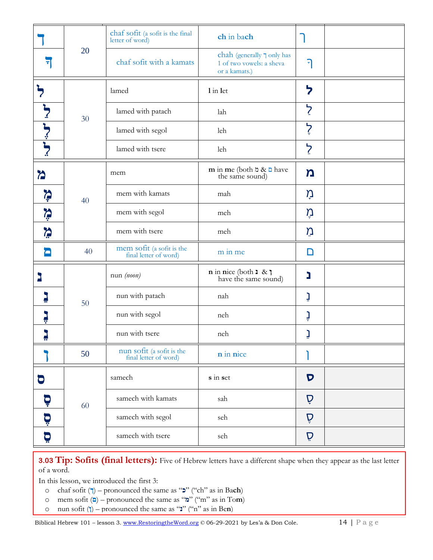|                  |    | chaf sofit (a sofit is the final<br>letter of word) | ch in bach                                                                     |                |  |
|------------------|----|-----------------------------------------------------|--------------------------------------------------------------------------------|----------------|--|
| न                | 20 | chaf sofit with a kamats                            | chah (generally $\sqcap$ only has<br>1 of two vowels: a sheva<br>or a kamats.) | ٦              |  |
|                  |    | lamed                                               | 1 in let                                                                       | ל              |  |
|                  | 30 | lamed with patach                                   | lah                                                                            | ל              |  |
| ל־<br>לִ         |    | lamed with segol                                    | leh                                                                            | $\zeta$        |  |
|                  |    | lamed with tsere                                    | leh                                                                            | $\overline{z}$ |  |
| $\sum$           |    | mem                                                 | m in me (both $\alpha \& \square$ have<br>the same sound)                      | $\mathbf n$    |  |
| $\sum_{\tau}$    | 40 | mem with kamats                                     | mah                                                                            | ņ              |  |
| <b>Vii</b>       |    | mem with segol                                      | meh                                                                            | ņ              |  |
| <b>September</b> |    | mem with tsere                                      | meh                                                                            | Ũ              |  |
| О                | 40 | mem sofit (a sofit is the<br>final letter of word)  | m in me                                                                        | D              |  |
|                  |    | nun (noon)                                          | $\mathbf n$ in nice (both $\mathbf 1 \& \mathbf 1$<br>have the same sound)     | נ              |  |
|                  | 50 | nun with patach                                     | nah                                                                            | <u>ן</u>       |  |
|                  |    | nun with segol                                      | neh                                                                            | ڗ.             |  |
|                  |    | nun with tsere                                      | neh                                                                            | <u>׀</u>       |  |
|                  | 50 | nun sofit (a sofit is the<br>final letter of word)  | n in nice                                                                      |                |  |
| O                |    | samech                                              | s in set                                                                       | $\mathbf D$    |  |
| Ģ                | 60 | samech with kamats                                  | sah                                                                            | Ď              |  |
| <u>g:</u>        |    | samech with segol                                   | seh                                                                            | Ď              |  |
| Ö                |    | samech with tsere                                   | seh                                                                            | Ď              |  |

**3.03 Tip: Sofits (final letters):** Five of Hebrew letters have a different shape when they appear as the last letter of a word.

In this lesson, we introduced the first 3:

- o chaf sofit ( $\uparrow$ ) pronounced the same as "**2**" ("ch" as in Bach)
- o mem sofit (**a**) pronounced the same as "**a**" ("m" as in To**m**)
- o nun sofit (**†**) pronounced the same as "**;**" ("n" as in Be**n**)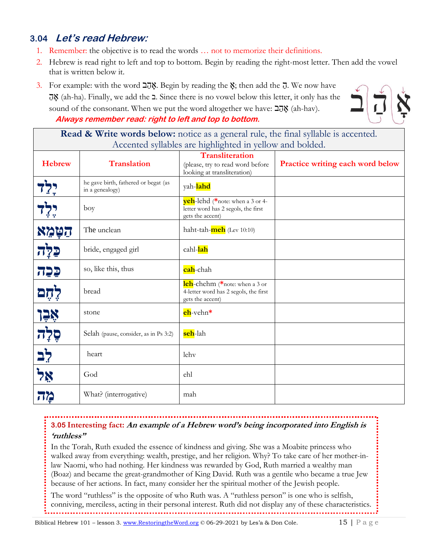## **3.04 Let's read Hebrew:**

- 1. Remember: the objective is to read the words … not to memorize their definitions.
- 2. Hebrew is read right to left and top to bottom. Begin by reading the right-most letter. Then add the vowel that is written below it.
- 3. For example: with the word  $\overline{20}$ . Begin by reading the  $\overline{y}$ ; then add the  $\overline{y}$ . We now have ִַּה ָא) ah-ha). Finally, we add the ב. Since there is no vowel below this letter, it only has the sound of the consonant. When we put the word altogether we have: הַהֲבָּ **Always remember read: right to left and top to bottom.**



**Read & Write words below:** notice as a general rule, the final syllable is accented. Accented syllables are highlighted in yellow and bolded.

| <b>Hebrew</b>                | <b>Translation</b>                                      | $\circ$<br>$\circ$<br><b>Transliteration</b><br>(please, try to read word before<br>looking at transliteration) | Practice writing each word below |
|------------------------------|---------------------------------------------------------|-----------------------------------------------------------------------------------------------------------------|----------------------------------|
|                              | he gave birth, fathered or begat (as<br>in a genealogy) | yah- <mark>lahd</mark>                                                                                          |                                  |
|                              | boy                                                     | yeh-lehd (*note: when a 3 or 4-<br>letter word has 2 segols, the first<br>gets the accent)                      |                                  |
| הַטָּמֵא                     | The unclean                                             | haht-tah-meh (Lev 10:10)                                                                                        |                                  |
| <u>קלְה</u>                  | bride, engaged girl                                     | cahl- <mark>lah</mark>                                                                                          |                                  |
| <u>קכה</u>                   | so, like this, thus                                     | cah-chah                                                                                                        |                                  |
| לְחָם                        | bread                                                   | leh-chehm (*note: when a 3 or<br>4-letter word has 2 segols, the first<br>gets the accent)                      |                                  |
|                              | stone                                                   | eh-vehn*                                                                                                        |                                  |
| אֶבֶן<br>פְלָה<br><u>לִב</u> | Selah (pause, consider, as in Ps 3:2)                   | <mark>seh</mark> -lah                                                                                           |                                  |
|                              | heart                                                   | lehv                                                                                                            |                                  |
| אַל                          | God                                                     | ehl                                                                                                             |                                  |
| מה                           | What? (interrogative)                                   | mah                                                                                                             |                                  |

# **3.05 Interesting fact: An example of a Hebrew word's being incorporated into English is**

**'ruthless"**

In the Torah, Ruth exuded the essence of kindness and giving. She was a Moabite princess who walked away from everything: wealth, prestige, and her religion. Why? To take care of her mother-inlaw Naomi, who had nothing. Her kindness was rewarded by God, Ruth married a wealthy man (Boaz) and became the great-grandmother of King David. Ruth was a gentile who became a true Jew because of her actions. In fact, many consider her the spiritual mother of the Jewish people.

The word "ruthless" is the opposite of who Ruth was. A "ruthless person" is one who is selfish, conniving, merciless, acting in their personal interest. Ruth did not display any of these characteristics.